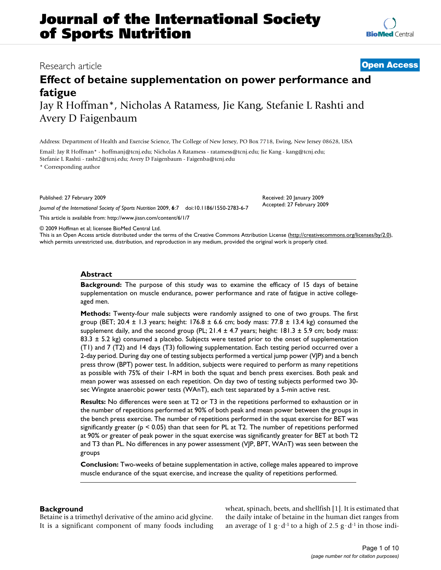# **Journal of the International Society of Sports Nutrition**

# **Effect of betaine supplementation on power performance and fatigue**

Jay R Hoffman\*, Nicholas A Ratamess, Jie Kang, Stefanie L Rashti and Avery D Faigenbaum

Address: Department of Health and Exercise Science, The College of New Jersey, PO Box 7718, Ewing, New Jersey 08628, USA

Email: Jay R Hoffman\* - hoffmanj@tcnj.edu; Nicholas A Ratamess - ratamess@tcnj.edu; Jie Kang - kang@tcnj.edu; Stefanie L Rashti - rasht2@tcnj.edu; Avery D Faigenbaum - Faigenba@tcnj.edu

\* Corresponding author

Published: 27 February 2009

*Journal of the International Society of Sports Nutrition* 2009, **6**:7 doi:10.1186/1550-2783-6-7

[This article is available from: http://www.jissn.com/content/6/1/7](http://www.jissn.com/content/6/1/7)

© 2009 Hoffman et al; licensee BioMed Central Ltd.

This is an Open Access article distributed under the terms of the Creative Commons Attribution License [\(http://creativecommons.org/licenses/by/2.0\)](http://creativecommons.org/licenses/by/2.0), which permits unrestricted use, distribution, and reproduction in any medium, provided the original work is properly cited.

#### **Abstract**

**Background:** The purpose of this study was to examine the efficacy of 15 days of betaine supplementation on muscle endurance, power performance and rate of fatigue in active collegeaged men.

**Methods:** Twenty-four male subjects were randomly assigned to one of two groups. The first group (BET; 20.4  $\pm$  1.3 years; height: 176.8  $\pm$  6.6 cm; body mass: 77.8  $\pm$  13.4 kg) consumed the supplement daily, and the second group (PL;  $21.4 \pm 4.7$  years; height: 181.3  $\pm$  5.9 cm; body mass: 83.3  $\pm$  5.2 kg) consumed a placebo. Subjects were tested prior to the onset of supplementation (T1) and 7 (T2) and 14 days (T3) following supplementation. Each testing period occurred over a 2-day period. During day one of testing subjects performed a vertical jump power (VJP) and a bench press throw (BPT) power test. In addition, subjects were required to perform as many repetitions as possible with 75% of their 1-RM in both the squat and bench press exercises. Both peak and mean power was assessed on each repetition. On day two of testing subjects performed two 30 sec Wingate anaerobic power tests (WAnT), each test separated by a 5-min active rest.

**Results:** No differences were seen at T2 or T3 in the repetitions performed to exhaustion or in the number of repetitions performed at 90% of both peak and mean power between the groups in the bench press exercise. The number of repetitions performed in the squat exercise for BET was significantly greater ( $p < 0.05$ ) than that seen for PL at T2. The number of repetitions performed at 90% or greater of peak power in the squat exercise was significantly greater for BET at both T2 and T3 than PL. No differences in any power assessment (VJP, BPT, WAnT) was seen between the groups

**Conclusion:** Two-weeks of betaine supplementation in active, college males appeared to improve muscle endurance of the squat exercise, and increase the quality of repetitions performed.

# **Background**

Betaine is a trimethyl derivative of the amino acid glycine. It is a significant component of many foods including wheat, spinach, beets, and shellfish [1]. It is estimated that the daily intake of betaine in the human diet ranges from an average of 1 g·d<sup>-1</sup> to a high of 2.5 g·d<sup>-1</sup> in those indi-

# Research article **[Open Access](http://www.biomedcentral.com/info/about/charter/)**

Received: 20 January 2009 Accepted: 27 February 2009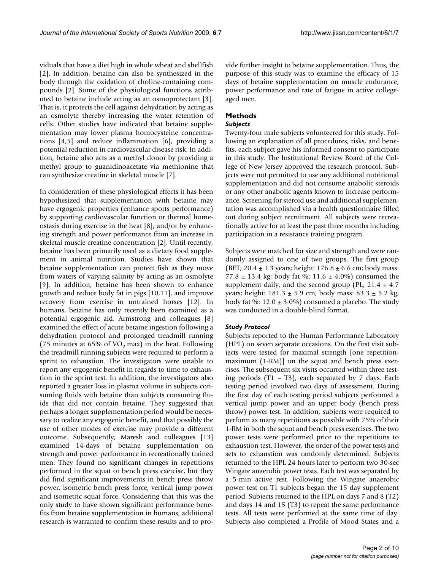viduals that have a diet high in whole wheat and shellfish [2]. In addition, betaine can also be synthesized in the body through the oxidation of choline-containing compounds [2]. Some of the physiological functions attributed to betaine include acting as an osmoprotectant [3]. That is, it protects the cell against dehydration by acting as an osmolyte thereby increasing the water retention of cells. Other studies have indicated that betaine supplementation may lower plasma homocysteine concentrations [4,5] and reduce inflammation [6], providing a potential reduction in cardiovascular disease risk. In addition, betaine also acts as a methyl donor by providing a methyl group to guanidinoacetate via methionine that can synthesize creatine in skeletal muscle [7].

In consideration of these physiological effects it has been hypothesized that supplementation with betaine may have ergogenic properties (enhance sports performance) by supporting cardiovascular function or thermal homeostasis during exercise in the heat [8], and/or by enhancing strength and power performance from an increase in skeletal muscle creatine concentration [2]. Until recently, betaine has been primarily used as a dietary food supplement in animal nutrition. Studies have shown that betaine supplementation can protect fish as they move from waters of varying salinity by acting as an osmolyte [9]. In addition, betaine has been shown to enhance growth and reduce body fat in pigs [10,11], and improve recovery from exercise in untrained horses [12]. In humans, betaine has only recently been examined as a potential ergogenic aid. Armstrong and colleagues [8] examined the effect of acute betaine ingestion following a dehydration protocol and prolonged treadmill running (75 minutes at 65% of VO<sub>2</sub> max) in the heat. Following the treadmill running subjects were required to perform a sprint to exhaustion. The investigators were unable to report any ergogenic benefit in regards to time to exhaustion in the sprint test. In addition, the investigators also reported a greater loss in plasma volume in subjects consuming fluids with betaine than subjects consuming fluids that did not contain betaine. They suggested that perhaps a longer supplementation period would be necessary to realize any ergogenic benefit, and that possibly the use of other modes of exercise may provide a different outcome. Subsequently, Maresh and colleagues [13] examined 14-days of betaine supplementation on strength and power performance in recreationally trained men. They found no significant changes in repetitions performed in the squat or bench press exercise, but they did find significant improvements in bench press throw power, isometric bench press force, vertical jump power and isometric squat force. Considering that this was the only study to have shown significant performance benefits from betaine supplementation in humans, additional research is warranted to confirm these results and to provide further insight to betaine supplementation. Thus, the purpose of this study was to examine the efficacy of 15 days of betaine supplementation on muscle endurance, power performance and rate of fatigue in active collegeaged men.

# **Methods**

#### *Subjects*

Twenty-four male subjects volunteered for this study. Following an explanation of all procedures, risks, and benefits, each subject gave his informed consent to participate in this study. The Institutional Review Board of the College of New Jersey approved the research protocol. Subjects were not permitted to use any additional nutritional supplementation and did not consume anabolic steroids or any other anabolic agents known to increase performance. Screening for steroid use and additional supplementation was accomplished via a health questionnaire filled out during subject recruitment. All subjects were recreationally active for at least the past three months including participation in a resistance training program.

Subjects were matched for size and strength and were randomly assigned to one of two groups. The first group (BET; 20.4  $\pm$  1.3 years; height: 176.8  $\pm$  6.6 cm; body mass: 77.8  $\pm$  13.4 kg; body fat %: 11.6  $\pm$  4.0%) consumed the supplement daily, and the second group (PL;  $21.4 \pm 4.7$ years; height:  $181.3 \pm 5.9$  cm; body mass:  $83.3 \pm 5.2$  kg; body fat %:  $12.0 \pm 3.0$ %) consumed a placebo. The study was conducted in a double-blind format.

# *Study Protocol*

Subjects reported to the Human Performance Laboratory (HPL) on seven separate occasions. On the first visit subjects were tested for maximal strength [one repetitionmaximum (1-RM)] on the squat and bench press exercises. The subsequent six visits occurred within three testing periods (T1 – T3), each separated by 7 days. Each testing period involved two days of assessment. During the first day of each testing period subjects performed a vertical jump power and an upper body (bench press throw) power test. In addition, subjects were required to perform as many repetitions as possible with 75% of their 1-RM in both the squat and bench press exercises. The two power tests were performed prior to the repetitions to exhaustion test. However, the order of the power tests and sets to exhaustion was randomly determined. Subjects returned to the HPL 24 hours later to perform two 30-sec Wingate anaerobic power tests. Each test was separated by a 5-min active rest. Following the Wingate anaerobic power test on T1 subjects began the 15 day supplement period. Subjects returned to the HPL on days 7 and 8 (T2) and days 14 and 15 (T3) to repeat the same performance tests. All tests were performed at the same time of day. Subjects also completed a Profile of Mood States and a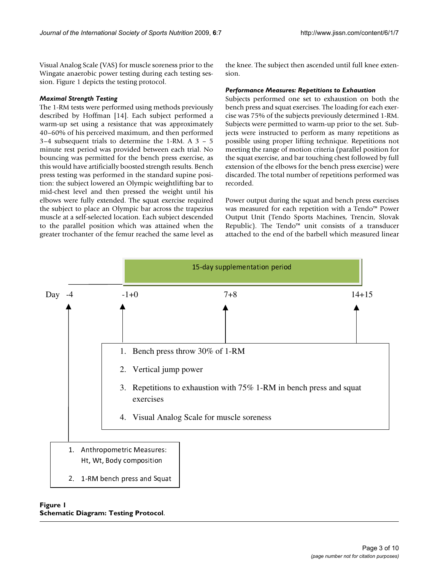Visual Analog Scale (VAS) for muscle soreness prior to the Wingate anaerobic power testing during each testing session. Figure 1 depicts the testing protocol.

# *Maximal Strength Testing*

The 1-RM tests were performed using methods previously described by Hoffman [14]. Each subject performed a warm-up set using a resistance that was approximately 40–60% of his perceived maximum, and then performed 3–4 subsequent trials to determine the 1-RM. A  $3 - 5$ minute rest period was provided between each trial. No bouncing was permitted for the bench press exercise, as this would have artificially boosted strength results. Bench press testing was performed in the standard supine position: the subject lowered an Olympic weightlifting bar to mid-chest level and then pressed the weight until his elbows were fully extended. The squat exercise required the subject to place an Olympic bar across the trapezius muscle at a self-selected location. Each subject descended to the parallel position which was attained when the greater trochanter of the femur reached the same level as the knee. The subject then ascended until full knee extension.

#### *Performance Measures: Repetitions to Exhaustion*

Subjects performed one set to exhaustion on both the bench press and squat exercises. The loading for each exercise was 75% of the subjects previously determined 1-RM. Subjects were permitted to warm-up prior to the set. Subjects were instructed to perform as many repetitions as possible using proper lifting technique. Repetitions not meeting the range of motion criteria (parallel position for the squat exercise, and bar touching chest followed by full extension of the elbows for the bench press exercise) were discarded. The total number of repetitions performed was recorded.

Power output during the squat and bench press exercises was measured for each repetition with a Tendo™ Power Output Unit (Tendo Sports Machines, Trencin, Slovak Republic). The Tendo™ unit consists of a transducer attached to the end of the barbell which measured linear



# **Figure 1 Schematic Diagram: Testing Protocol**.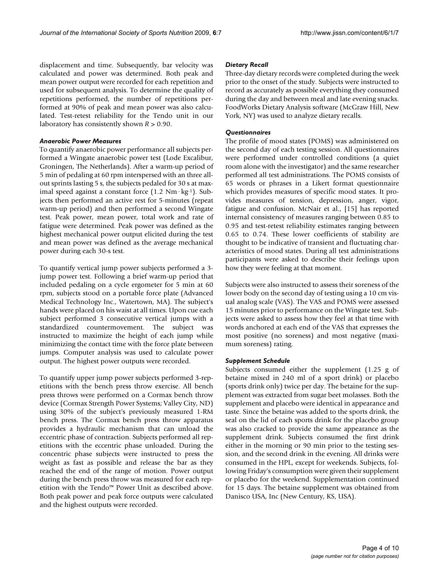displacement and time. Subsequently, bar velocity was calculated and power was determined. Both peak and mean power output were recorded for each repetition and used for subsequent analysis. To determine the quality of repetitions performed, the number of repetitions performed at 90% of peak and mean power was also calculated. Test-retest reliability for the Tendo unit in our laboratory has consistently shown *R* > 0.90.

# *Anaerobic Power Measures*

To quantify anaerobic power performance all subjects performed a Wingate anaerobic power test (Lode Excalibur, Groningen, The Netherlands). After a warm-up period of 5 min of pedaling at 60 rpm interspersed with an three allout sprints lasting 5 s, the subjects pedaled for 30 s at maximal speed against a constant force  $(1.2 \text{ Nm} \cdot \text{kg}^{-1})$ . Subjects then performed an active rest for 5-minutes (repeat warm-up period) and then performed a second Wingate test. Peak power, mean power, total work and rate of fatigue were determined. Peak power was defined as the highest mechanical power output elicited during the test and mean power was defined as the average mechanical power during each 30-s test.

To quantify vertical jump power subjects performed a 3 jump power test. Following a brief warm-up period that included pedaling on a cycle ergometer for 5 min at 60 rpm, subjects stood on a portable force plate (Advanced Medical Technology Inc., Watertown, MA). The subject's hands were placed on his waist at all times. Upon cue each subject performed 3 consecutive vertical jumps with a standardized countermovement. The subject was instructed to maximize the height of each jump while minimizing the contact time with the force plate between jumps. Computer analysis was used to calculate power output. The highest power outputs were recorded.

To quantify upper jump power subjects performed 3-repetitions with the bench press throw exercise. All bench press throws were performed on a Cormax bench throw device (Cormax Strength Power Systems; Valley City, ND) using 30% of the subject's previously measured 1-RM bench press. The Cormax bench press throw apparatus provides a hydraulic mechanism that can unload the eccentric phase of contraction. Subjects performed all repetitions with the eccentric phase unloaded. During the concentric phase subjects were instructed to press the weight as fast as possible and release the bar as they reached the end of the range of motion. Power output during the bench press throw was measured for each repetition with the Tendo™ Power Unit as described above. Both peak power and peak force outputs were calculated and the highest outputs were recorded.

# *Dietary Recall*

Three-day dietary records were completed during the week prior to the onset of the study. Subjects were instructed to record as accurately as possible everything they consumed during the day and between meal and late evening snacks. FoodWorks Dietary Analysis software (McGraw Hill, New York, NY) was used to analyze dietary recalls.

# *Questionnaires*

The profile of mood states (POMS) was administered on the second day of each testing session. All questionnaires were performed under controlled conditions (a quiet room alone with the investigator) and the same researcher performed all test administrations. The POMS consists of 65 words or phrases in a Likert format questionnaire which provides measures of specific mood states. It provides measures of tension, depression, anger, vigor, fatigue and confusion. McNair et al., [15] has reported internal consistency of measures ranging between 0.85 to 0.95 and test-retest reliability estimates ranging between 0.65 to 0.74. These lower coefficients of stability are thought to be indicative of transient and fluctuating characteristics of mood states. During all test administrations participants were asked to describe their feelings upon how they were feeling at that moment.

Subjects were also instructed to assess their soreness of the lower body on the second day of testing using a 10 cm visual analog scale (VAS). The VAS and POMS were assessed 15 minutes prior to performance on the Wingate test. Subjects were asked to assess how they feel at that time with words anchored at each end of the VAS that expresses the most positive (no soreness) and most negative (maximum soreness) rating.

# *Supplement Schedule*

Subjects consumed either the supplement (1.25 g of betaine mixed in 240 ml of a sport drink) or placebo (sports drink only) twice per day. The betaine for the supplement was extracted from sugar beet molasses. Both the supplement and placebo were identical in appearance and taste. Since the betaine was added to the sports drink, the seal on the lid of each sports drink for the placebo group was also cracked to provide the same appearance as the supplement drink. Subjects consumed the first drink either in the morning or 90 min prior to the testing session, and the second drink in the evening. All drinks were consumed in the HPL, except for weekends. Subjects, following Friday's consumption were given their supplement or placebo for the weekend. Supplementation continued for 15 days. The betaine supplement was obtained from Danisco USA, Inc (New Century, KS, USA).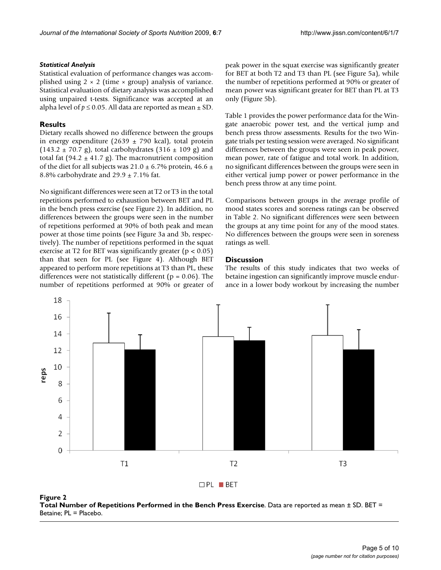#### *Statistical Analysis*

Statistical evaluation of performance changes was accomplished using  $2 \times 2$  (time  $\times$  group) analysis of variance. Statistical evaluation of dietary analysis was accomplished using unpaired t-tests. Significance was accepted at an alpha level of  $p \le 0.05$ . All data are reported as mean  $\pm$  SD.

# **Results**

Dietary recalls showed no difference between the groups in energy expenditure (2639  $\pm$  790 kcal), total protein  $(143.2 \pm 70.7 \text{ g})$ , total carbohydrates  $(316 \pm 109 \text{ g})$  and total fat  $(94.2 \pm 41.7 \text{ g})$ . The macronutrient composition of the diet for all subjects was  $21.0 \pm 6.7\%$  protein, 46.6  $\pm$ 8.8% carbohydrate and  $29.9 \pm 7.1$ % fat.

No significant differences were seen at T2 or T3 in the total repetitions performed to exhaustion between BET and PL in the bench press exercise (see Figure 2). In addition, no differences between the groups were seen in the number of repetitions performed at 90% of both peak and mean power at those time points (see Figure 3a and 3b, respectively). The number of repetitions performed in the squat exercise at T2 for BET was significantly greater ( $p < 0.05$ ) than that seen for PL (see Figure 4). Although BET appeared to perform more repetitions at T3 than PL, these differences were not statistically different ( $p = 0.06$ ). The number of repetitions performed at 90% or greater of peak power in the squat exercise was significantly greater for BET at both T2 and T3 than PL (see Figure 5a), while the number of repetitions performed at 90% or greater of mean power was significant greater for BET than PL at T3 only (Figure 5b).

Table 1 provides the power performance data for the Wingate anaerobic power test, and the vertical jump and bench press throw assessments. Results for the two Wingate trials per testing session were averaged. No significant differences between the groups were seen in peak power, mean power, rate of fatigue and total work. In addition, no significant differences between the groups were seen in either vertical jump power or power performance in the bench press throw at any time point.

Comparisons between groups in the average profile of mood states scores and soreness ratings can be observed in Table 2. No significant differences were seen between the groups at any time point for any of the mood states. No differences between the groups were seen in soreness ratings as well.

#### **Discussion**

The results of this study indicates that two weeks of betaine ingestion can significantly improve muscle endurance in a lower body workout by increasing the number



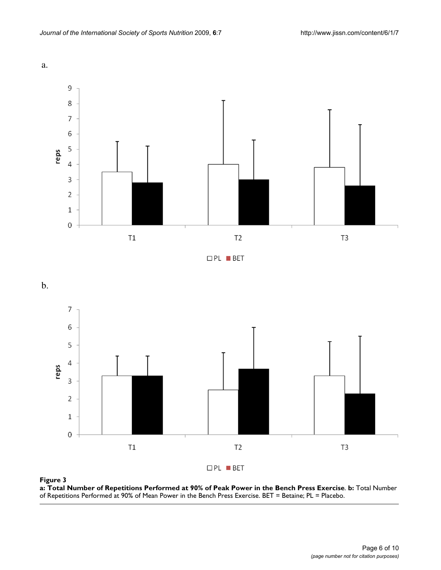





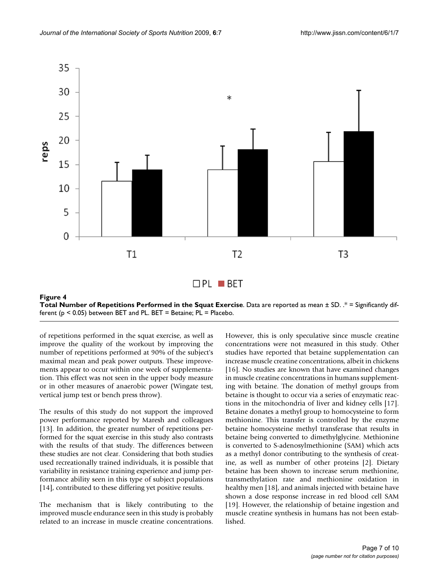

**Total Number of Repetitions Performed in the Squat Exercise**. Data are reported as mean ± SD. .\* = Significantly different ( $p < 0.05$ ) between BET and PL. BET = Betaine; PL = Placebo.

of repetitions performed in the squat exercise, as well as improve the quality of the workout by improving the number of repetitions performed at 90% of the subject's maximal mean and peak power outputs. These improvements appear to occur within one week of supplementation. This effect was not seen in the upper body measure or in other measures of anaerobic power (Wingate test, vertical jump test or bench press throw).

The results of this study do not support the improved power performance reported by Maresh and colleagues [13]. In addition, the greater number of repetitions performed for the squat exercise in this study also contrasts with the results of that study. The differences between these studies are not clear. Considering that both studies used recreationally trained individuals, it is possible that variability in resistance training experience and jump performance ability seen in this type of subject populations [14], contributed to these differing yet positive results.

The mechanism that is likely contributing to the improved muscle endurance seen in this study is probably related to an increase in muscle creatine concentrations.

However, this is only speculative since muscle creatine concentrations were not measured in this study. Other studies have reported that betaine supplementation can increase muscle creatine concentrations, albeit in chickens [16]. No studies are known that have examined changes in muscle creatine concentrations in humans supplementing with betaine. The donation of methyl groups from betaine is thought to occur via a series of enzymatic reactions in the mitochondria of liver and kidney cells [17]. Betaine donates a methyl group to homocysteine to form methionine. This transfer is controlled by the enzyme betaine homocysteine methyl transferase that results in betaine being converted to dimethylglycine. Methionine is converted to S-adenosylmethionine (SAM) which acts as a methyl donor contributing to the synthesis of creatine, as well as number of other proteins [2]. Dietary betaine has been shown to increase serum methionine, transmethylation rate and methionine oxidation in healthy men [\[18](#page-9-0)], and animals injected with betaine have shown a dose response increase in red blood cell SAM [19]. However, the relationship of betaine ingestion and muscle creatine synthesis in humans has not been established.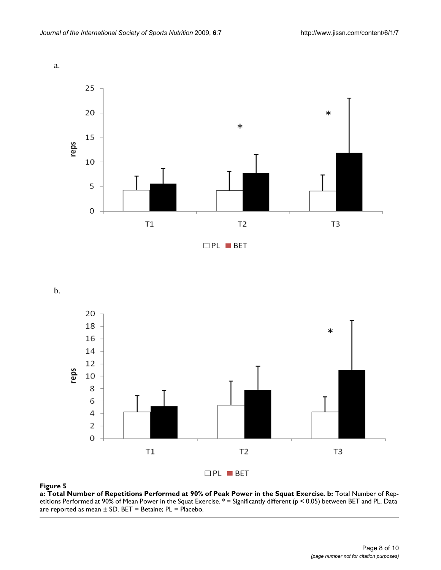





# a: Total Number of Repetitions Performed at **Figure 5** 90% of Peak Power in the Squat Exercise

**a: Total Number of Repetitions Performed at 90% of Peak Power in the Squat Exercise**. **b:** Total Number of Repetitions Performed at 90% of Mean Power in the Squat Exercise. \* = Significantly different (p < 0.05) between BET and PL. Data are reported as mean  $\pm$  SD. BET = Betaine; PL = Placebo.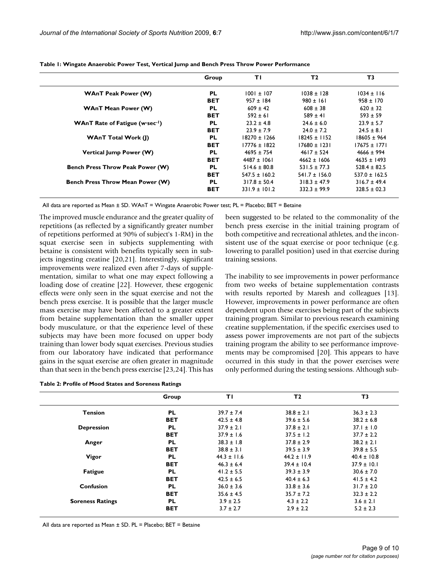|                                         | Group      | ΤI                | T <sub>2</sub>    | T3                |
|-----------------------------------------|------------|-------------------|-------------------|-------------------|
| <b>WAnT Peak Power (W)</b>              | <b>PL</b>  | $1001 \pm 107$    | $1038 \pm 128$    | $1034 \pm 116$    |
|                                         | <b>BET</b> | $957 \pm 184$     | $980 \pm 161$     | $958 \pm 170$     |
| <b>WAnT Mean Power (W)</b>              | <b>PL</b>  | $609 \pm 42$      | $608 \pm 38$      | $620 \pm 32$      |
|                                         | <b>BET</b> | $592 \pm 61$      | $589 \pm 41$      | $593 \pm 59$      |
| <b>WAnT Rate of Fatigue (w·sec-1)</b>   | <b>PL</b>  | $23.2 \pm 4.8$    | $24.6 \pm 6.0$    | $23.9 \pm 5.7$    |
|                                         | <b>BET</b> | $23.9 \pm 7.9$    | $24.0 \pm 7.2$    | $24.5 \pm 8.1$    |
| <b>WAnT Total Work (I)</b>              | <b>PL</b>  | $18270 \pm 1266$  | $18245 \pm 1152$  | $18605 \pm 964$   |
|                                         | <b>BET</b> | 17776 + 1822      | $17680 + 1231$    | $17675 + 1771$    |
| Vertical Jump Power (W)                 | <b>PL</b>  | $4695 \pm 754$    | $4617 \pm 524$    | $4666 \pm 994$    |
|                                         | <b>BET</b> | $4487 \pm 1061$   | $4662 \pm 1606$   | $4635 \pm 1493$   |
| <b>Bench Press Throw Peak Power (W)</b> | <b>PL</b>  | $514.6 \pm 80.8$  | $531.5 \pm 77.3$  | $528.4 \pm 82.5$  |
|                                         | <b>BET</b> | $547.5 \pm 160.2$ | $541.7 \pm 156.0$ | $537.0 \pm 162.5$ |
| <b>Bench Press Throw Mean Power (W)</b> | <b>PL</b>  | $317.8 \pm 50.4$  | $318.3 + 47.9$    | $316.7 \pm 49.4$  |
|                                         | <b>BET</b> | $331.9 \pm 101.2$ | $332.3 \pm 99.9$  | $328.5 \pm 02.3$  |

**Table 1: Wingate Anaerobic Power Test, Vertical Jump and Bench Press Throw Power Performance**

All data are reported as Mean ± SD. WAnT = Wingate Anaerobic Power test; PL = Placebo; BET = Betaine

The improved muscle endurance and the greater quality of repetitions (as reflected by a significantly greater number of repetitions performed at 90% of subject's 1-RM) in the squat exercise seen in subjects supplementing with betaine is consistent with benefits typically seen in subjects ingesting creatine [20,21]. Interestingly, significant improvements were realized even after 7-days of supplementation, similar to what one may expect following a loading dose of creatine [22]. However, these ergogenic effects were only seen in the squat exercise and not the bench press exercise. It is possible that the larger muscle mass exercise may have been affected to a greater extent from betaine supplementation than the smaller upper body musculature, or that the experience level of these subjects may have been more focused on upper body training than lower body squat exercises. Previous studies from our laboratory have indicated that performance gains in the squat exercise are often greater in magnitude than that seen in the bench press exercise [23,24]. This has

| Table 2: Profile of Mood States and Soreness Ratings |  |  |  |
|------------------------------------------------------|--|--|--|
|------------------------------------------------------|--|--|--|

been suggested to be related to the commonality of the bench press exercise in the initial training program of both competitive and recreational athletes, and the inconsistent use of the squat exercise or poor technique (e.g. lowering to parallel position) used in that exercise during training sessions.

The inability to see improvements in power performance from two weeks of betaine supplementation contrasts with results reported by Maresh and colleagues [13]. However, improvements in power performance are often dependent upon these exercises being part of the subjects training program. Similar to previous research examining creatine supplementation, if the specific exercises used to assess power improvements are not part of the subjects training program the ability to see performance improvements may be compromised [20]. This appears to have occurred in this study in that the power exercises were only performed during the testing sessions. Although sub-

|                         | Group      | ΤI              | T <sub>2</sub>  | T <sub>3</sub>  |
|-------------------------|------------|-----------------|-----------------|-----------------|
| <b>Tension</b>          | <b>PL</b>  | $39.7 \pm 7.4$  | $38.8 \pm 2.1$  | $36.3 \pm 2.3$  |
|                         | <b>BET</b> | $42.5 \pm 4.8$  | $39.6 \pm 5.6$  | $38.2 \pm 6.8$  |
| <b>Depression</b>       | <b>PL</b>  | $37.9 \pm 2.1$  | $37.8 \pm 2.1$  | $37.1 \pm 1.0$  |
|                         | <b>BET</b> | $37.9 \pm 1.6$  | $37.5 \pm 1.2$  | $37.7 \pm 2.2$  |
| Anger                   | <b>PL</b>  | $38.3 \pm 1.8$  | $37.8 \pm 2.9$  | $38.2 \pm 2.1$  |
|                         | <b>BET</b> | $38.8 \pm 3.1$  | $39.5 \pm 3.9$  | $39.8 \pm 5.5$  |
| Vigor                   | <b>PL</b>  | $44.3 \pm 11.6$ | $44.2 \pm 11.9$ | $40.4 \pm 10.8$ |
|                         | <b>BET</b> | $46.3 \pm 6.4$  | $39.4 \pm 10.4$ | $37.9 \pm 10.1$ |
| <b>Fatigue</b>          | <b>PL</b>  | $41.2 \pm 5.5$  | $39.3 \pm 3.9$  | $30.6 \pm 7.0$  |
|                         | <b>BET</b> | $42.5 \pm 6.5$  | $40.4 \pm 6.3$  | $41.5 \pm 4.2$  |
| Confusion               | <b>PL</b>  | $36.0 \pm 3.6$  | $33.8 \pm 3.6$  | $31.7 \pm 2.0$  |
|                         | <b>BET</b> | $35.6 \pm 4.5$  | $35.7 \pm 7.2$  | $32.3 \pm 2.2$  |
| <b>Soreness Ratings</b> | <b>PL</b>  | $3.9 \pm 2.5$   | $4.3 \pm 2.2$   | $3.6 \pm 2.1$   |
|                         | <b>BET</b> | $3.7 \pm 2.7$   | $2.9 \pm 2.2$   | $5.2 \pm 2.3$   |

All data are reported as Mean ± SD. PL = Placebo; BET = Betaine